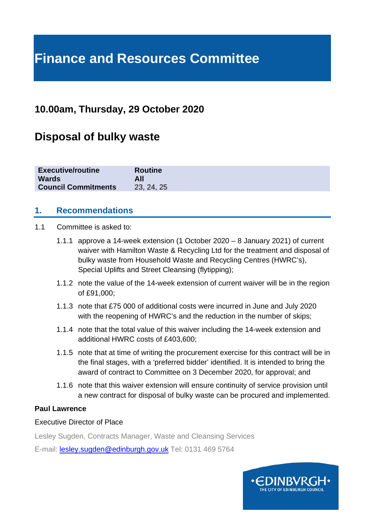# **Finance and Resources Committee**

# **10.00am, Thursday, 29 October 2020**

# **Disposal of bulky waste**

| <b>Executive/routine</b>   | <b>Routine</b> |
|----------------------------|----------------|
| <b>Wards</b>               | All            |
| <b>Council Commitments</b> | 23, 24, 25     |

## **1. Recommendations**

#### 1.1 Committee is asked to:

- 1.1.1 approve a 14-week extension (1 October 2020 8 January 2021) of current waiver with Hamilton Waste & Recycling Ltd for the treatment and disposal of bulky waste from Household Waste and Recycling Centres (HWRC's), Special Uplifts and Street Cleansing (flytipping);
- 1.1.2 note the value of the 14-week extension of current waiver will be in the region of £91,000;
- 1.1.3 note that £75 000 of additional costs were incurred in June and July 2020 with the reopening of HWRC's and the reduction in the number of skips;
- 1.1.4 note that the total value of this waiver including the 14-week extension and additional HWRC costs of £403,600;
- 1.1.5 note that at time of writing the procurement exercise for this contract will be in the final stages, with a 'preferred bidder' identified. It is intended to bring the award of contract to Committee on 3 December 2020, for approval; and
- 1.1.6 note that this waiver extension will ensure continuity of service provision until a new contract for disposal of bulky waste can be procured and implemented.

#### **Paul Lawrence**

#### Executive Director of Place

Lesley Sugden, Contracts Manager, Waste and Cleansing Services

E-mail: [lesley.sugden@edinburgh.gov.uk](mailto:lesley.sugden@edinburgh.gov.uk) Tel: 0131 469 5764

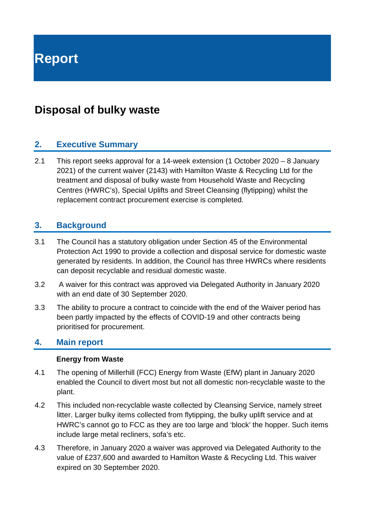**Report**

# **Disposal of bulky waste**

## **2. Executive Summary**

2.1 This report seeks approval for a 14-week extension (1 October 2020 – 8 January 2021) of the current waiver (2143) with Hamilton Waste & Recycling Ltd for the treatment and disposal of bulky waste from Household Waste and Recycling Centres (HWRC's), Special Uplifts and Street Cleansing (flytipping) whilst the replacement contract procurement exercise is completed.

# **3. Background**

- 3.1 The Council has a statutory obligation under Section 45 of the Environmental Protection Act 1990 to provide a collection and disposal service for domestic waste generated by residents. In addition, the Council has three HWRCs where residents can deposit recyclable and residual domestic waste.
- 3.2 A waiver for this contract was approved via Delegated Authority in January 2020 with an end date of 30 September 2020.
- 3.3 The ability to procure a contract to coincide with the end of the Waiver period has been partly impacted by the effects of COVID-19 and other contracts being prioritised for procurement.

#### **4. Main report**

#### **Energy from Waste**

- 4.1 The opening of Millerhill (FCC) Energy from Waste (EfW) plant in January 2020 enabled the Council to divert most but not all domestic non-recyclable waste to the plant.
- 4.2 This included non-recyclable waste collected by Cleansing Service, namely street litter. Larger bulky items collected from flytipping, the bulky uplift service and at HWRC's cannot go to FCC as they are too large and 'block' the hopper. Such items include large metal recliners, sofa's etc.
- 4.3 Therefore, in January 2020 a waiver was approved via Delegated Authority to the value of £237,600 and awarded to Hamilton Waste & Recycling Ltd. This waiver expired on 30 September 2020.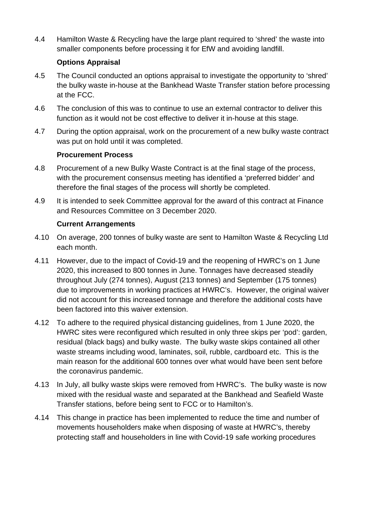4.4 Hamilton Waste & Recycling have the large plant required to 'shred' the waste into smaller components before processing it for EfW and avoiding landfill.

#### **Options Appraisal**

- 4.5 The Council conducted an options appraisal to investigate the opportunity to 'shred' the bulky waste in-house at the Bankhead Waste Transfer station before processing at the FCC.
- 4.6 The conclusion of this was to continue to use an external contractor to deliver this function as it would not be cost effective to deliver it in-house at this stage.
- 4.7 During the option appraisal, work on the procurement of a new bulky waste contract was put on hold until it was completed.

#### **Procurement Process**

- 4.8 Procurement of a new Bulky Waste Contract is at the final stage of the process, with the procurement consensus meeting has identified a 'preferred bidder' and therefore the final stages of the process will shortly be completed.
- 4.9 It is intended to seek Committee approval for the award of this contract at Finance and Resources Committee on 3 December 2020.

#### **Current Arrangements**

- 4.10 On average, 200 tonnes of bulky waste are sent to Hamilton Waste & Recycling Ltd each month.
- 4.11 However, due to the impact of Covid-19 and the reopening of HWRC's on 1 June 2020, this increased to 800 tonnes in June. Tonnages have decreased steadily throughout July (274 tonnes), August (213 tonnes) and September (175 tonnes) due to improvements in working practices at HWRC's. However, the original waiver did not account for this increased tonnage and therefore the additional costs have been factored into this waiver extension.
- 4.12 To adhere to the required physical distancing guidelines, from 1 June 2020, the HWRC sites were reconfigured which resulted in only three skips per 'pod': garden, residual (black bags) and bulky waste. The bulky waste skips contained all other waste streams including wood, laminates, soil, rubble, cardboard etc. This is the main reason for the additional 600 tonnes over what would have been sent before the coronavirus pandemic.
- 4.13 In July, all bulky waste skips were removed from HWRC's. The bulky waste is now mixed with the residual waste and separated at the Bankhead and Seafield Waste Transfer stations, before being sent to FCC or to Hamilton's.
- 4.14 This change in practice has been implemented to reduce the time and number of movements householders make when disposing of waste at HWRC's, thereby protecting staff and householders in line with Covid-19 safe working procedures